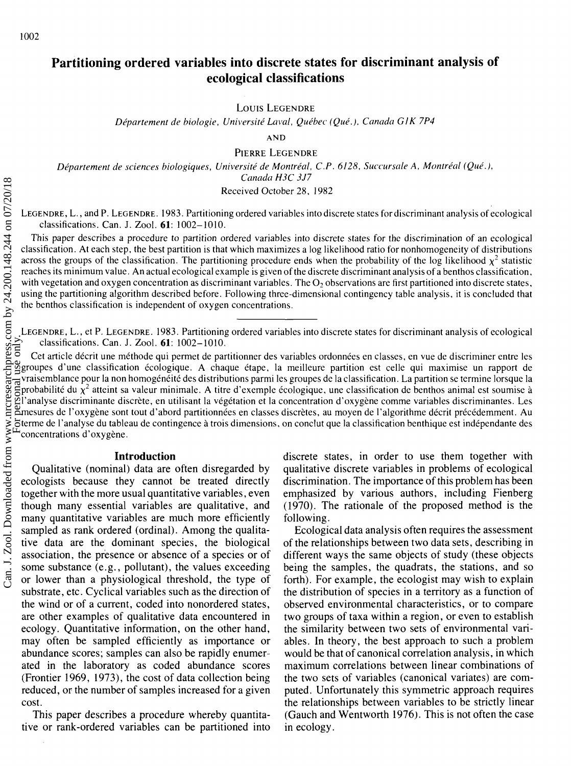# **Partitioning ordered variables into discrete states for discriminant analysis of ecological classifications**

Lours LEGENDRE

*Département de biologie, Université Laval, Québec (Qué.), Canada GIK 7P4* 

AND

PIERRE LEGENDRE

*Dkpartement de sciences biologiques, Universitk de Montrkal, C.P. 61 28, Succurscrle A, MontrPal (QuP.* ), *Canada H3C 357* 

#### Received October 28. 1982

LEGENDRE, L., and P. LEGENDRE. 1983. Partitioning ordered variables into discrete states for discriminant analysis of ecological classifications. Can. J. Zool. **61:** 1002- 101 0.

This paper describes a procedure to partition ordered variables into discrete states for the discrimination of an ecological classification. At each step, the best partition is that which maximizes a log likelihood ratio for nonhomogeneity of distributions across the groups of the classification. The partitioning procedure ends when the probability of the log likelihood  $\chi^2$  statistic reaches its minimum value. An actual ecological example is given of the discrete discriminant analysis of a benthos classification,<br>with vegetation and oxygen concentration as discriminant variables. The  ${\rm O}_2$  observati using the partitioning algorithm described before. Following three-dimensional contingency table analysis, it is concluded that the benthos classification is independent of oxygen concentrations.

LEGENDRE, L., et P. LEGENDRE. 1983. Partitioning ordered variables into discrete states for discriminant analysis of ecological classifications. Can. J. Zool. **61:** 1002- 1010.

Cet article décrit une méthode qui permet de partitionner des variables ordonnées en classes, en vue de discriminer entre les groupes d'une classification kcologique. A chaque ktape, la meilleure partition est celle qui maximise un rapport de vraisemblance pour la non homogénéité des distributions parmi les groupes de la classification. La partition se termine lorsque la probabilité du  $\chi^2$  atteint sa valeur minimale. A titre d'exemple écologique, une classification de benthos animal est soumise à l'analyse discriminante discrète, en utilisant la végétation et la concentration d'oxygène comme variables discriminantes. Les mesures de l'oxygène sont tout d'abord partitionnées en classes discrètes, au moyen de l'algorithme décrit précédemment. Au terme de l'analyse du tableau de contingence a trois dimensions, on conclut que la classification benthique est indipendante des Sterme de l'analyse du tableau de contingence à trois dimensions, on conclut que la classification benthique est indépendante des  $\mathbb{L}$ concentrations d'oxygène.

## **Introduction**

Qualitative (nominal) data are often disregarded by ecologists because they cannot be treated directly together with the more usual quantitative variables, even though many essential variables are qualitative, and many quantitative variables are much more efficiently sampled as rank ordered (ordinal). Among the qualitative data are the dominant species, the biological association, the presence or absence of a species or of some substance (e.g., pollutant), the values exceeding or lower than a physiological threshold, the type of substrate, etc. Cyclical variables such as the direction of the wind or of a current, coded into nonordered states, are other examples of qualitative data encountered in ecology. Quantitative information, on the other hand, may often be sampled efficiently as importance or abundance scores; samples can also be rapidly enumerated in the laboratory as coded abundance scores (Frontier 1969, 1973), the cost of data collection being reduced, or the number of samples increased for a given cost.

This paper describes a procedure whereby quantitative or rank-ordered variables can be partitioned into discrete states, in order to use them together with qualitative discrete variables in problems of ecological discrimination. The importance of this problem has been emphasized by various authors, including Fienberg (1970). The rationale of the proposed method is the following.

Ecological data analysis often requires the assessment of the relationships between two data sets, describing in different ways the same objects of study (these objects being the samples, the quadrats, the stations, and so forth). For example, the ecologist may wish to explain the distribution of species in a territory as a function of observed environmental characteristics, or to compare two groups of taxa within a region, or even to establish the similarity between two sets of environmental variables. In theory, the best approach to such a problem would be that of canonical correlation analysis, in which maximum correlations between linear combinations of the two sets of variables (canonical variates) are computed. Unfortunately this symmetric approach requires the relationships between variables to be strictly linear (Gauch and Wentworth 1976). This is not often the case in ecology.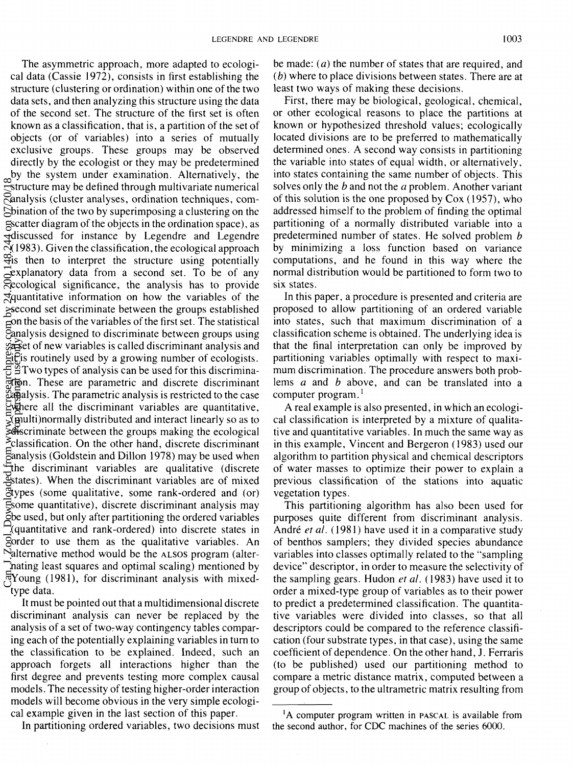The asymmetric approach, more adapted to ecological data (Cassie 1972), consists in first establishing the structure (clustering or ordination) within one of the two data sets, and then analyzing this structure using the data of the second set. The structure of the first set is often known as a classification, that is, a partition of the set of objects (or of variables) into a series of mutually exclusive groups. These groups may be observed directly by the ecologist or they may be predetermined by the system under examination. Alternatively, the structure may be defined through multivariate numerical analysis (cluster analyses, ordination techniques, combination of the two by superimposing a clustering on the scatter diagram of the objects in the ordination space), as discussed for instance by Legendre and Legendre  $\mathbb{R}$ (1983). Given the classification, the ecological approach  $\frac{\infty}{\infty}$  is then to interpret the structure using potentially  $\equiv$  explanatory data from a second set. To be of any ecological significance, the analysis has to provide quantitative information on how the variables of the second set discriminate between the groups established  $\overline{\mathbf{F}}$  on the basis of the variables of the first set. The statistical analysis designed to discriminate between groups using reset of new variables is called discriminant analysis and if is routinely used by a growing number of ecologists. Two types of analysis can be used for this discrimination. These are parametric and discrete discriminant gagalysis. The parametric analysis is restricted to the case  $\frac{1}{2}$  where all the discriminant variables are quantitative,  $\frac{1}{8}$ ( $\overline{m}$ ulti)normally distributed and interact linearly so as to discriminate between the groups making the ecological  $\frac{3}{2}$ classification. On the other hand, discrete discriminant analysis (Goldstein and Dillon 1978) may be used when  $\pm$ the discriminant variables are qualitative (discrete states). When the discriminant variables are of mixed types (some qualitative, some rank-ordered and (or) some quantitative), discrete discriminant analysis may Sollie qualitation of the partitioning the ordered variables (quantitative and rank-ordered) into discrete states in  $\sqrt{2}$  order to use them as the qualitative variables. An alternative method wbuld be the **ALSOS** program (alternating least squares and optimal scaling) mentioned by Young (1981), for discriminant analysis with mixedtype data. Can. J. Zool. Downloaded from www.nrcresearchpress.com by 24.200.148.244 on 07/20/18 For personal use only. But personal use only. But personal use only. But personal use only. But personal use only. But personal use only

It must be pointed out that a multidimensional discrete discriminant analysis can never be replaced by the analysis of a set of two-way contingency tables comparing each of the potentially explaining variables in turn to the classification to be explained. Indeed, such an approach forgets all interactions higher than the first degree and prevents testing more complex causal models. The necessity of testing higher-order interaction models will become obvious in the very simple ecological example given in the last section of this paper.

be made: (a) the number of states that are required, and (b) where to place divisions between states. There are at least two ways of making these decisions.

First, there may be biological, geological, chemical, or other ecological reasons to place the partitions at known or hypothesized threshold values; ecologically located divisions are to be preferred to mathematically determined ones. A second way consists in partitioning the variable into states of equal width, or alternatively, into states containing the same number of objects. This solves only the  $b$  and not the  $a$  problem. Another variant of this solution is the one proposed by Cox (1957), who addressed himself to the problem of finding the optimal partitioning of a normally distributed variable into a predetermined number of states. He solved problem b by minimizing a loss function based on variance computations, and he found in this way where the normal distribution would be partitioned to form two to six states.

In this paper, a procedure is presented and criteria are proposed to allow partitioning of an ordered variable into states, such that maximum discrimination of a classification scheme is obtained. The underlying idea is that the final interpretation can only be improved by partitioning variables optimally with respect to maximum discrimination. The procedure answers both problems a and b above, and can be translated into a computer program.<sup>1</sup>

A real example is also presented, in which an ecological classification is interpreted by a mixture of qualitative and quantitative variables. In much the same way as in this example, Vincent and Bergeron (1983) used our algorithm to partition physical and chemical descriptors of water masses to optimize their power to explain a previous classification of the stations into aquatic vegetation types.

This partitioning algorithm has also been used for purposes quite different from discriminant analysis. André *et al.* (1981) have used it in a comparative study of benthos samplers; they divided species abundance variables into classes optimally related to the "sampling device" descriptor, in order to measure the selectivity of the sampling gears. Hudon *et* al. ( 1983) have used it to order a mixed-type group of variables as to their power to predict a predetermined classification. The quantitative variables were divided into classes, so that all descriptors could be compared to the reference classification (four substrate types, in that case), using the same coefficient of dependence. On the other hand, J. Ferraris (to be published) used our partitioning method to compare a metric distance matrix, computed between a group of objects, to the ultrametric matrix resulting from

In partitioning ordered variables, two decisions must

<sup>&</sup>lt;sup>1</sup>A computer program written in PASCAL is available from the second author, for CDC machines of the series 6000.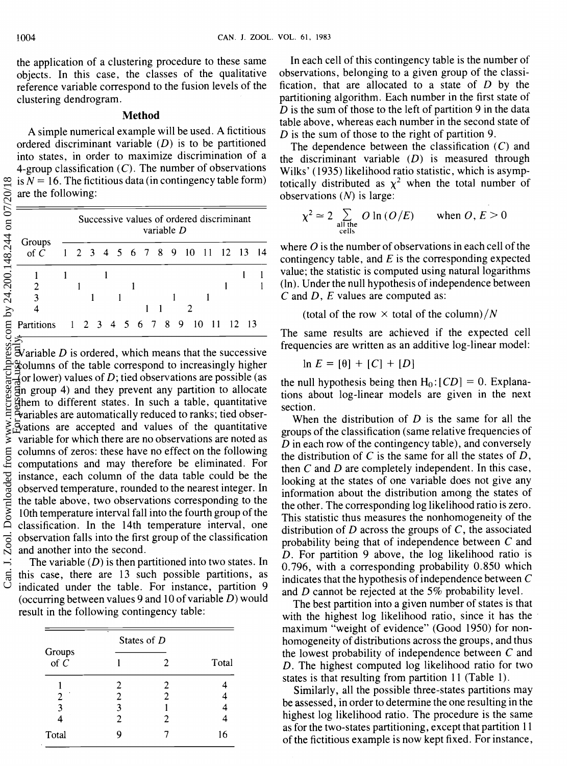the application of a clustering procedure to these same objects. In this case, the classes of the qualitative reference variable correspond to the fusion levels of the clustering dendrogram.

## **Method**

**A** simple numerical example will be used. **A** fictitious ordered discriminant variable  $(D)$  is to be partitioned into states, in order to maximize discrimination of a 4-group classification  $(C)$ . The number of observations  $\delta N = 16$ . The fictitious data (in contingency table form) are the following:

|                          |                   |  |  |  | variable D |             | Successive values of ordered discriminant |               |  |
|--------------------------|-------------------|--|--|--|------------|-------------|-------------------------------------------|---------------|--|
| Groups<br>$\alpha$ f $C$ |                   |  |  |  |            |             | 1 2 3 4 5 6 7 8 9 10 11 12 13 14          |               |  |
|                          |                   |  |  |  |            |             |                                           |               |  |
|                          |                   |  |  |  |            |             |                                           |               |  |
|                          |                   |  |  |  |            |             |                                           |               |  |
|                          |                   |  |  |  |            |             |                                           |               |  |
| <b>Partitions</b>        | 1 2 3 4 5 6 7 8 9 |  |  |  |            | $\sqrt{10}$ |                                           | $12 \quad 13$ |  |

Variable  $D$  is ordered, which means that the successive columns of the table correspond to increasingly higher or lower) values of D; tied observations are possible (as in group 4) and they prevent any partition to allocate them to different states. In such a table, quantitative variables are automatically reduced to ranks; tied obser $v_{\rm F}$  vations are accepted and values of the quantitative variable for which there are no observations are noted as columns of zeros: these have no effect on the following computations and may therefore be eliminated. For instance, each column of the data table could be the observed temperature, rounded to the nearest integer. In the table above, two observations corresponding to the 10th temperature interval fall into the fourth group of the classification. In the 14th temperature interval, one observation falls into the first group of the classification and another into the second.

The variable  $(D)$  is then partitioned into two states. In this case, there are 13 such possible partitions, as indicated under the table. For instance, partition 9 (occurring between values 9 and 10 of variable  $D$ ) would result in the following contingency table:

|                          | ۰              | States of D |       |  |  |  |
|--------------------------|----------------|-------------|-------|--|--|--|
| Groups<br>of $\tilde{C}$ |                |             | Total |  |  |  |
|                          | 2              | 2           |       |  |  |  |
| 2                        | $\overline{c}$ | 2           |       |  |  |  |
| 3                        | 3              |             |       |  |  |  |
|                          | 2              | 2           |       |  |  |  |
| Total                    |                |             | 16    |  |  |  |

In each cell of this contingency table is the number of observations, belonging to a given group of the classification, that are allocated to a state of  $D$  by the partitioning algorithm. Each number in the first state of D is the sum of those to the left of partition 9 in the data table above, whereas each number in the second state of D is the sum of those to the right of partition 9.

The dependence between the classification  $(C)$  and the discriminant variable  $(D)$  is measured through Wilks' (1935) likelihood ratio statistic, which is asymptotically distributed as  $\chi^2$  when the total number of observations  $(N)$  is large:

$$
\chi^2 \simeq 2 \sum_{\substack{\text{all the} \\ \text{cells}}} O \ln (O/E) \qquad \text{when } O, E > 0
$$

where  $\ddot{o}$  is the number of observations in each cell of the contingency table, and  $E$  is the corresponding expected value; the statistic is computed using natural logarithms (In). Under the null hypothesis of independence between C and D, E values are computed as:

(total of the row  $\times$  total of the column)/N

The same results are achieved if the expected cell frequencies are written as an additive log-linear model:

$$
\ln E = [\theta] + [C] + [D]
$$

the null hypothesis being then  $H_0: [CD] = 0$ . Explanations about log-linear models are given in the next section.

When the distribution of  $D$  is the same for all the groups of the classification (same relative frequencies of D in each row of the contingency table), and conversely the distribution of C is the same for all the states of  $D$ , then  $C$  and  $D$  are completely independent. In this case, looking at the states of one variable does not give any information about the distribution among the states of the other. The corresponding log likelihood ratio is zero. This statistic thus measures the nonhomogeneity of the distribution of  $D$  across the groups of  $C$ , the associated probability being that of independence between C and D. For partition 9 above, the log likelihood ratio is 0.796, with a corresponding probability 0.850 which indicates that the hypothesis of independence between C and D cannot be rejected at the 5% probability level.

The best partition into a given number of states is that with the highest log likelihood ratio, since it has the maximum "weight of evidence" (Good 1950) for nonhomogeneity of distributions across the groups, and thus the lowest probability of independence between  $C$  and D. The highest computed log likelihood ratio for two states is that resulting from partition 11 (Table 1).

Similarly, all the possible three-states partitions may be assessed, in order to determine the one resulting in the highest log likelihood ratio. The procedure is the same as for the two-states partitioning, except that partition 11 of the fictitious example is now kept fixed. For instance,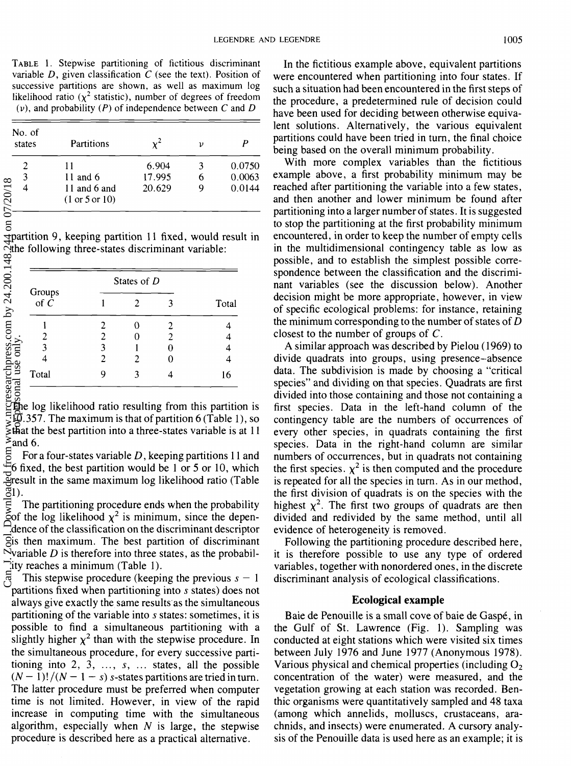TABLE 1. Stepwise partitioning of fictitious discriminant variable  $D$ , given classification  $C$  (see the text). Position of successive partitions are shown, as well as maximum log  $(v)$ , and probability  $(P)$  of independence between C and D

|                  | successive partitions are shown, as well as maximum tog<br>likelihood ratio ( $\chi^2$ statistic), number of degrees of freedom<br>$(v)$ , and probability (P) of independence between C and D |                |   |        |
|------------------|------------------------------------------------------------------------------------------------------------------------------------------------------------------------------------------------|----------------|---|--------|
| No. of<br>states | Partitions                                                                                                                                                                                     | $\mathbf{x}^2$ | ν |        |
| 2                | 11                                                                                                                                                                                             | 6.904          | 3 | 0.0750 |
| 3                | 11 and $6$                                                                                                                                                                                     | 17.995         | 6 | 0.0063 |
| 4                | 11 and 6 and<br>(1 or 5 or 10)                                                                                                                                                                 | 20.629         |   | 0.0144 |

partition 9, keeping partition 11 fixed, would result in the following three-states discriminant variable:

| CONTROLLED States of D<br>States of D<br>States of D<br>of C<br>$\frac{1}{2}$<br>$\frac{2}{3}$<br>$\frac{2}{2}$<br>$\frac{0}{2}$<br>$\frac{2}{4}$<br>$\frac{2}{4}$<br>$\frac{2}{2}$<br>$\frac{0}{2}$<br>$\frac{2}{4}$<br>$\frac{4}{4}$<br>$\frac{2}{2}$<br>$\frac{2}{2}$<br>$\frac{0}{4}$<br>$\frac{4}{4}$<br>$\frac{2}{2}$<br><br>$\frac{1}{2}$ $\mathbb{Q}$ .357. The maximum is that of partition 6 (Table 1),<br>$\geq$ in the maximum is that of partners (Table 1),<br>$\geq$ and 6.<br>For a four-states variable $D$ , keeping partitions 11 a<br>$\pm$ 6 fixed, the best partition would be 1 or 5 or 10, whi | gresult in the same maximum log likelihood ratio (Tal                                                                             |  |  |  |
|------------------------------------------------------------------------------------------------------------------------------------------------------------------------------------------------------------------------------------------------------------------------------------------------------------------------------------------------------------------------------------------------------------------------------------------------------------------------------------------------------------------------------------------------------------------------------------------------------------------------|-----------------------------------------------------------------------------------------------------------------------------------|--|--|--|
|                                                                                                                                                                                                                                                                                                                                                                                                                                                                                                                                                                                                                        |                                                                                                                                   |  |  |  |
|                                                                                                                                                                                                                                                                                                                                                                                                                                                                                                                                                                                                                        |                                                                                                                                   |  |  |  |
|                                                                                                                                                                                                                                                                                                                                                                                                                                                                                                                                                                                                                        |                                                                                                                                   |  |  |  |
|                                                                                                                                                                                                                                                                                                                                                                                                                                                                                                                                                                                                                        |                                                                                                                                   |  |  |  |
|                                                                                                                                                                                                                                                                                                                                                                                                                                                                                                                                                                                                                        |                                                                                                                                   |  |  |  |
|                                                                                                                                                                                                                                                                                                                                                                                                                                                                                                                                                                                                                        |                                                                                                                                   |  |  |  |
|                                                                                                                                                                                                                                                                                                                                                                                                                                                                                                                                                                                                                        |                                                                                                                                   |  |  |  |
|                                                                                                                                                                                                                                                                                                                                                                                                                                                                                                                                                                                                                        | The partitioning procedure ends when the probabil<br>$\frac{5}{2}$ of the log likelihood $\chi^2$ is minimum, since the dependent |  |  |  |

 $\frac{35}{25}$ <br>The log likelihood ratio resulting from this partition is<br> $\frac{100}{257}$  The maximum is that of partition 6 (Table 1), so  $\overline{10}$ .357. The maximum is that of partition 6 (Table 1), so  $\frac{1}{2}$ that the best partition into a three-states variable is at 11  $\geq$  and 6.

For a four-states variable D, keeping partitions 11 and  $\frac{6}{10}$  For a roun-states value  $\frac{1}{2}$ ,  $\frac{1}{20}$  or 5 or 10, which result in the same maximum log likelihood ratio (Table 1).

The partitioning procedure ends when the probability of the log likelihood  $\chi^2$  is minimum, since the dependence of the classification on the discriminant descriptor  $\overline{S}$ is then maximum. The best partition of discriminant Nvariable  $D$  is therefore into three states, as the probability reaches a minimum (Table 1).

This stepwise procedure (keeping the previous  $s - 1$ partitions fixed when partitioning into **s** states) does not always give exactly the same results as the simultaneous partitioning of the variable into s states: sometimes, it is possible to find a simultaneous partitioning with a slightly higher  $\chi^2$  than with the stepwise procedure. In the simultaneous procedure, for every successive partitioning into 2, 3,  $\dots$ , s,  $\dots$  states, all the possible  $(N-1)!/(N-1-s)$  s-states partitions are tried in turn. The latter procedure must be preferred when computer time is not limited. However, in view of the rapid increase in computing time with the simultaneous algorithm, especially when *N* is large, the stepwise procedure is described here as a practical alternative.

In the fictitious example above, equivalent partitions were encountered when partitioning into four states. If such a situation had been encountered in the first steps of the procedure, a predetermined rule of decision could have been used for deciding between otherwise equivalent solutions. Alternatively, the various equivalent partitions could have been tried in turn, the final choice being based on the overall minimum probability.

With more complex variables than the fictitious example above, a first probability minimum may be reached after partitioning the variable into a few states, and then another and lower minimum be found after partitioning into a larger number of states. It is suggested to stop the partitioning at the first probability minimum encountered, in order to keep the number of empty cells in the multidimensional contingency table as low as possible, and to establish the simplest possible correspondence between the classification and the discriminant variables (see the discussion below). Another decision might be more appropriate, however, in view of specific ecological problems: for instance, retaining the minimum corresponding to the number of states of  $D$ closest to the number of groups of  $C$ .

A similar approach was described by Pielou (1969) to divide quadrats into groups, using presence-absence data. The subdivision is made by choosing a "critical species" and dividing on that species. Quadrats are first divided into those containing and those not containing a first species. Data in the left-hand column of the contingency table are the numbers of occurrences of every other species, in quadrats containing the first species. Data in the right-hand column are similar numbers of occurrences, but in quadrats not containing the first species.  $\chi^2$  is then computed and the procedure is repeated for all the species in turn. As in our method, the first division of quadrats is on the species with the highest  $\chi^2$ . The first two groups of quadrats are then divided and redivided by the same method, until all evidence of heterogeneity is removed.

Following the partitioning procedure described here, it is therefore possible to use any type of ordered variables, together with nonordered ones, in the discrete discriminant analysis of ecological classifications.

## **Ecological example**

Baie de Penouille is a small cove of baie de Gaspé, in the Gulf of St. Lawrence (Fig. I). Sampling was conducted at eight stations which were visited six times between July 1976 and June 1977 (Anonymous 1978). Various physical and chemical properties (including  $O_2$ ) concentration of the water) were measured, and the vegetation growing at each station was recorded. Benthic organisms were quantitatively sampled and 48 taxa (among which annelids, molluscs, crustaceans, arachnids, and insects) were enumerated. A cursory analysis of the Penouille data is used here as an example; it is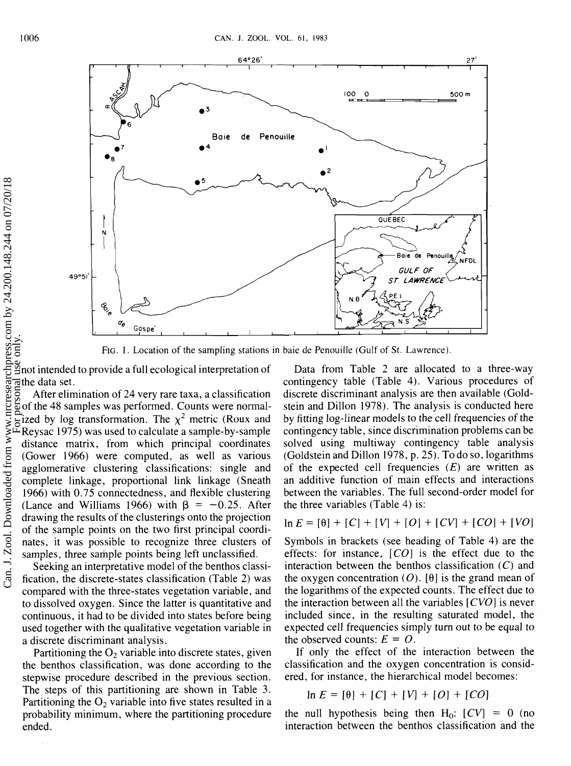

FIG. 1. Location of the sampling stations in baie de Penouille (Gulf of St. Lawrence).

not intended to provide a full ecological interpretation of the data set.

After elimination of 24 very rare taxa, a classification of the 48 samples was performed. Counts were normalized by log transformation. The  $\chi^2$  metric (Roux and Reysac 1975) was used to calculate a sample-by-sample distance matrix, from which principal coordinates (Gower 1966) were computed, as well as various agglomerative clustering classifications: single and complete linkage, proportional link linkage (Sneath 1966) with 0.75 connectedness, and flexible clustering (Lance and Williams 1966) with  $\beta = -0.25$ . After drawing the results of the clusterings onto the projection of the sample points on the two first principal coordinates, it was possible to recognize three clusters of samples, three sample points being left unclassified.

Seeking an interpretative model of the benthos classification, the discrete-states classification (Table 2) was compared with the three-states vegetation variable, and to dissolved oxygen. Since the latter is quantitative and continuous, it had to be divided into states before being used together with the qualitative vegetation variable in a discrete discriminant analysis.

Partitioning the  $O_2$  variable into discrete states, given the benthos classification, was done according to the stepwise procedure described in the previous section. The steps of this partitioning are shown in Table 3. Partitioning the  $O<sub>2</sub>$  variable into five states resulted in a probability minimum, where the partitioning procedure ended.

Data from Table 2 are allocated to a three-way contingency table (Table 4). Various procedures of discrete discriminant analysis are then available (Goldstein and Dillon 1978). The analysis is conducted here by fitting log-linear models to the cell frequencies of the contingency table, since discrimination problems can be solved using multiway contingency table analysis (Goldstein and Dillon 1978, p. 25). To do so, logarithms of the expected cell frequencies  $(E)$  are written as an additive function of main effects and interactions between the variables. The full second-order model for the three variables (Table 4) is:

$$
\ln E = [\theta] + [C] + [V] + [O] + [CV] + [CO] + [VO]
$$

Symbols in brackets (see heading of Table 4) are the effects: for instance,  $[CO]$  is the effect due to the interaction between the benthos classification  $(C)$  and the oxygen concentration  $(O)$ . [ $\theta$ ] is the grand mean of the logarithms of the expected counts. The effect due to the interaction between all the variables  $[CVO]$  is never included since, in the resulting saturated model, the expected cell frequencies simply turn out to be equal to the observed counts:  $E = O$ .

If only the effect of the interaction between the classification and the oxygen concentration is considered, for instance, the hierarchical model becomes:

 $\ln E = [\theta] + [C] + [V] + [O] + [CO]$ 

the null hypothesis being then H<sub>0</sub>:  $|CV| = 0$  (no interaction between the benthos classification and the

1006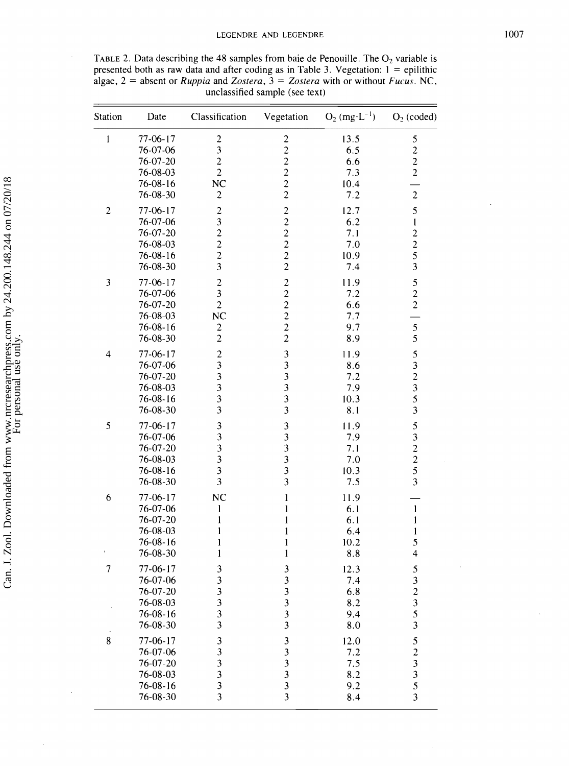à.

TABLE 2. Data describing the 48 samples from baie de Penouille. The O<sub>2</sub> variable is presented both as raw data and after coding as in Table 3. Vegetation:  $1 =$  epilithic algae, 2 = absent or *Ruppia* and *Zostera,* **3** = *Zostera* with or without *Fucus.* NC, unclassified sample (see text)

| Station                 | Date           | Classification          | Vegetation                                 | $O_2$ (mg·L <sup>-1</sup> ) | $O2$ (coded)            |
|-------------------------|----------------|-------------------------|--------------------------------------------|-----------------------------|-------------------------|
| 1                       | $77-06-17$     | $\overline{\mathbf{c}}$ | $\overline{\mathbf{c}}$                    | 13.5                        | 5                       |
|                         | 76-07-06       | $\overline{\mathbf{3}}$ | $\frac{2}{2}$                              | 6.5                         | $\frac{2}{2}$           |
|                         | 76-07-20       | $\overline{\mathbf{c}}$ |                                            | 6.6                         |                         |
|                         | 76-08-03       | $\overline{c}$          | $\overline{\mathbf{c}}$                    | 7.3                         | $\overline{c}$          |
|                         | 76-08-16       | <b>NC</b>               | $\overline{c}$                             | 10.4                        |                         |
|                         | 76-08-30       | 2                       | $\overline{c}$                             | 7.2                         | $\overline{c}$          |
| $\boldsymbol{2}$        | 77-06-17       | $\overline{\mathbf{c}}$ | $\overline{c}$                             | 12.7                        | 5                       |
|                         | 76-07-06       | 3                       | $\overline{\mathbf{c}}$                    | 6.2                         | 1                       |
|                         | 76-07-20       | $\overline{c}$          | $\overline{c}$                             | 7.1                         | $\overline{c}$          |
|                         | 76-08-03       | $\overline{c}$          | $\overline{c}$                             | 7.0                         | $rac{2}{5}$             |
|                         | $76 - 08 - 16$ | $\overline{c}$          | $\overline{2}$                             | 10.9                        |                         |
|                         | 76-08-30       | $\overline{\mathbf{3}}$ | $\overline{c}$                             | 7.4                         | $\overline{\mathbf{3}}$ |
| 3                       | $77-06-17$     | $\overline{\mathbf{c}}$ | $\overline{\mathbf{c}}$                    | 11.9                        | 5                       |
|                         | 76-07-06       | 3                       | $\overline{c}$                             | 7.2                         | $\overline{c}$          |
|                         | 76-07-20       | $\overline{c}$          | $\frac{2}{2}$                              | 6.6                         | $\overline{\mathbf{c}}$ |
|                         | 76-08-03       | N <sub>C</sub>          |                                            | 7.7                         |                         |
|                         | 76-08-16       | $\overline{\mathbf{c}}$ | $\overline{c}$                             | 9.7                         | 5                       |
|                         | 76-08-30       | $\overline{c}$          | $\overline{c}$                             | 8.9                         | 5                       |
| $\overline{\mathbf{4}}$ | 77-06-17       | $\overline{\mathbf{c}}$ | 3                                          | 11.9                        | 5                       |
|                         | 76-07-06       | $\overline{\mathbf{3}}$ | 3                                          | 8.6                         | 3                       |
|                         | 76-07-20       | 3                       | 3                                          | 7.2                         | $\overline{\mathbf{c}}$ |
|                         | 76-08-03       | $\overline{\mathbf{3}}$ | $\overline{\mathbf{3}}$                    | 7.9                         | $\overline{\mathbf{3}}$ |
|                         | 76-08-16       | 3                       | 3                                          | 10.3                        | 5                       |
|                         | 76-08-30       | 3                       | $\overline{\mathbf{3}}$                    | 8.1                         | 3                       |
| 5                       | $77 - 06 - 17$ | 3                       | 3                                          | 11.9                        | 5                       |
|                         | 76-07-06       | 3                       | 3                                          | 7.9                         | 3                       |
|                         | 76-07-20       | 3                       | $\overline{\mathbf{3}}$                    | 7.1                         | $\overline{\mathbf{c}}$ |
|                         | 76-08-03       | $\overline{\mathbf{3}}$ | $\overline{\mathbf{3}}$                    | 7.0                         | $\frac{2}{5}$           |
|                         | 76-08-16       | 3                       | 3                                          | 10.3                        |                         |
|                         | 76-08-30       | $\overline{\mathbf{3}}$ | $\overline{\mathbf{3}}$                    | 7.5                         | $\overline{\mathbf{3}}$ |
| 6                       | $77-06-17$     | N <sub>C</sub>          | 1                                          | 11.9                        |                         |
|                         | 76-07-06       | 1                       | 1                                          | 6.1                         | 1                       |
|                         | 76-07-20       | 1                       | 1                                          | 6.1                         | 1                       |
|                         | 76-08-03       | 1                       | ı                                          | 6.4                         | 1                       |
|                         | $76 - 08 - 16$ | $\mathbf{1}$            | 1                                          | 10.2                        | 5                       |
|                         | 76-08-30       | 1                       | 1                                          | 8.8                         | $\overline{\mathbf{4}}$ |
| 7                       | 77-06-17       | 3                       | 3                                          | 12.3                        | 5                       |
|                         | 76-07-06       | 3                       | 3                                          | 7.4                         | $\mathfrak{Z}$          |
|                         | 76-07-20       | 3                       | 3                                          | 6.8                         | $\overline{\mathbf{c}}$ |
|                         | 76-08-03       | 3                       | 3                                          | 8.2                         | $\overline{\mathbf{3}}$ |
|                         | $76 - 08 - 16$ | $\mathfrak{Z}$          | $\frac{3}{3}$                              | 9.4                         | $\frac{5}{3}$           |
|                         | 76-08-30       | 3                       |                                            | 8.0                         |                         |
| 8                       | $77-06-17$     | 3                       | 3                                          | 12.0                        | $5233$<br>$53$          |
|                         | 76-07-06       | 3                       | 3                                          | 7.2                         |                         |
|                         | 76-07-20       | $\frac{3}{3}$           | $\overline{\mathbf{3}}$                    | 7.5                         |                         |
|                         | 76-08-03       |                         |                                            | 8.2                         |                         |
|                         | $76 - 08 - 16$ | 3                       | $\begin{array}{c} 3 \\ 3 \\ 3 \end{array}$ | 9.2                         |                         |
|                         | 76-08-30       | $\overline{\mathbf{3}}$ |                                            | 8.4                         |                         |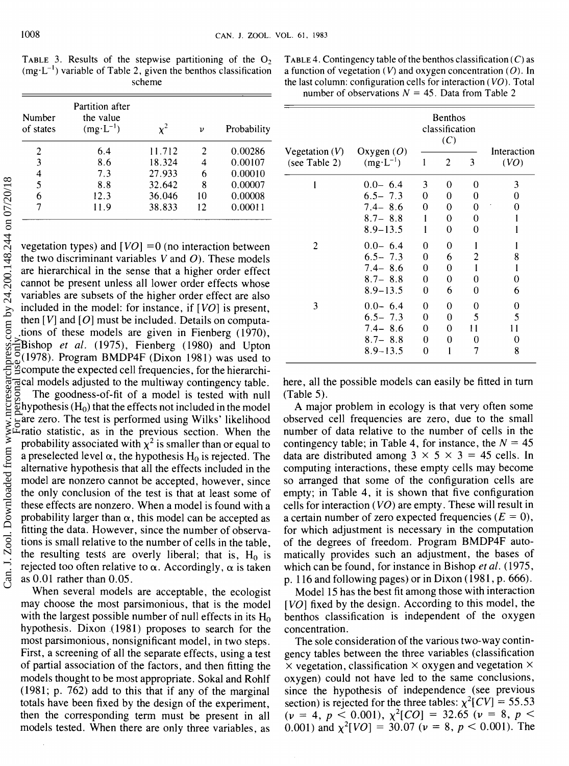TABLE 3. Results of the stepwise partitioning of the  $O<sub>2</sub>$  $(mg \cdot L^{-1})$  variable of Table 2, given the benthos classification scheme

| Number<br>of states | Partition after<br>the value<br>$(mg \cdot L^{-1})$ | $x^2$  | ν  | Probability |
|---------------------|-----------------------------------------------------|--------|----|-------------|
| 2                   | 6.4                                                 | 11.712 | 2  | 0.00286     |
| 3                   | 8.6                                                 | 18.324 | 4  | 0.00107     |
| 4                   | 7.3                                                 | 27.933 | 6  | 0.00010     |
| 5                   | 8.8                                                 | 32.642 | 8  | 0.00007     |
| 6                   | 12.3                                                | 36.046 | 10 | 0.00008     |
|                     | 11.9                                                | 38.833 | 12 | 0.00011     |

vegetation types) and  $[VO] = 0$  (no interaction between the two discriminant variables  $V$  and  $O$ ). These models are hierarchical in the sense that a higher order effect cannot be present unless all lower order effects whose variables are subsets of the higher order effect are also included in the model: for instance, if [VO] is present, then  $[V]$  and  $[O]$  must be included. Details on computations of these models are given in Fienberg (1970), Bishop *et al.* (1975), Fienberg (1980) and Upton  $(1978)$ . Program BMDP4F (Dixon 1981) was used to compute the expected cell frequencies, for the hierarchical models adjusted to the multiway contingency table. The goodness-of-fit of a model is tested with null hypothesis  $(H_0)$  that the effects not included in the model are zero. The test is performed using Wilks' likelihood Fare zero. The test is performed using Wilks' likelihood  $\Xi$ ratio statistic, as in the previous section. When the probability associated with  $\chi^2$  is smaller than or equal to a preselected level  $\alpha$ , the hypothesis H<sub>0</sub> is rejected. The alternative hypothesis that all the effects included in the model are nonzero cannot be accepted, however, since the only conclusion of the test is that at least some of these effects are nonzero. When a model is found with a probability larger than  $\alpha$ , this model can be accepted as fitting the data. However, since the number of observations is small relative to the number of cells in the table, the resulting tests are overly liberal; that is,  $H_0$  is rejected too often relative to  $\alpha$ . Accordingly,  $\alpha$  is taken as 0.01 rather than 0.05.

When several models are acceptable, the ecologist may choose the most parsimonious, that is the model with the largest possible number of null effects in its  $H_0$ hypothesis. Dixon .(1981) proposes to search for the most parsimonious, nonsignificant model, in two steps. First, a screening of all the separate effects, using a test of partial association of the factors, and then fitting the models thought to be most appropriate. Sokal and Rohlf (1981; p. 762) add to this that if any of the marginal totals have been fixed by the design of the experiment, then the corresponding term must be present in all models tested. When there are only three variables, as

|                                   |                                     |   | <b>Benthos</b><br>classification<br>(C) |    |                     |
|-----------------------------------|-------------------------------------|---|-----------------------------------------|----|---------------------|
| Vegetation $(V)$<br>(see Table 2) | Oxygen $(O)$<br>$(mg \cdot L^{-1})$ | 1 | $\overline{2}$                          | 3  | Interaction<br>(VO) |
| 1                                 | $0.0 - 6.4$                         | 3 | $\Omega$                                | 0  | 3                   |
|                                   | $6.5 - 7.3$                         | 0 | 0                                       | 0  | 0                   |
|                                   | $7.4 - 8.6$                         | 0 | 0                                       | 0  | 0                   |
|                                   | $8.7 - 8.8$                         | ı | 0                                       | 0  | 1                   |
|                                   | $8.9 - 13.5$                        |   | $\theta$                                | 0  |                     |
| 2                                 | $0.0 - 6.4$                         | 0 | $\bf{0}$                                | 1  | 1                   |
|                                   | $6.5 - 7.3$                         | 0 | 6                                       | 2  | 8                   |
|                                   | $7.4 - 8.6$                         | 0 | $\overline{0}$                          |    | 1                   |
|                                   | $8.7 - 8.8$                         | 0 | $\theta$                                | 0  | 0                   |
|                                   | $8.9 - 13.5$                        | 0 | 6                                       | 0  | 6                   |
| 3                                 | $0.0 - 6.4$                         | 0 | 0                                       | 0  | 0                   |
|                                   | $6.5 - 7.3$                         | 0 | 0                                       | 5  | 5                   |
|                                   | $7.4 - 8.6$                         | 0 | 0                                       | 11 | 11                  |
|                                   | $8.7 - 8.8$                         | 0 | 0                                       | 0  | 0                   |
|                                   | $8.9 - 13.5$                        | 0 |                                         | 7  | 8                   |

here, all the possible models can easily be fitted in turn (Table 5).

A major problem in ecology is that very often some observed cell frequencies are zero, due to the small number of data relative to the number of cells in the contingency table; in Table 4, for instance, the  $N = 45$ data are distributed among  $3 \times 5 \times 3 = 45$  cells. In computing interactions, these empty cells may become so arranged that some of the configuration cells are empty; in Table 4, it is shown that five configuration cells for interaction  $(VO)$  are empty. These will result in a certain number of zero expected frequencies ( $E = 0$ ), for which adjustment is necessary in the computation of the degrees of freedom. Program BMDP4F automatically provides such an adjustment, the bases of which can be found, for instance in Bishop *et al.* (1975, p. 116 and following pages) or in Dixon (1981, p. 666).

Model 15 has the best fit among those with interaction  $[VO]$  fixed by the design. According to this model, the benthos classification is independent of the oxygen concentration.

The sole consideration of the various two-way contingency tables between the three variables (classification  $\times$  vegetation, classification  $\times$  oxygen and vegetation  $\times$ oxygen) could not have led to the same conclusions, since the hypothesis of independence (see previous section) is rejected for the three tables:  $\chi^2[CV] = 55.53$  $(\nu = 4, p \le 0.001), \chi^2[CO] = 32.65 \; (\nu = 8, p \le 0.001)$ 0.001) and  $\chi^2[VO] = 30.07$  ( $\nu = 8$ ,  $p < 0.001$ ). The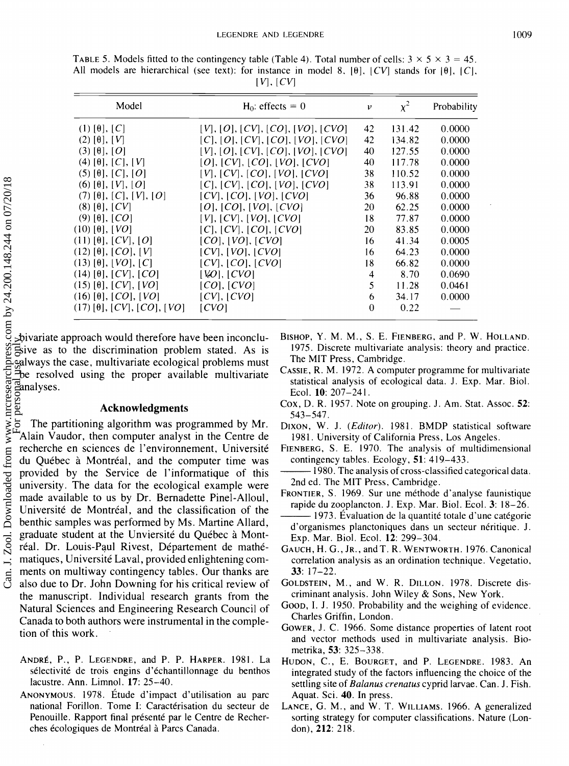TABLE 5. Models fitted to the contingency table (Table 4). Total number of cells:  $3 \times 5 \times 3 = 45$ . All models are hierarchical (see text): for instance in model 8,  $\vert \theta \vert$ ,  $\vert CV \vert$  stands for  $\vert \theta \vert$ ,  $\vert C \vert$ ,  $[V]$ -  $[C]$ 

| Model                                             | $H_0$ : effects = 0                        | ν        | $x^2$  | Probability |
|---------------------------------------------------|--------------------------------------------|----------|--------|-------------|
| $(1)$ [ $\theta$ ], [C]                           | [V], [O], [CV], [CO], [VO], [CVO]          | 42       | 131.42 | 0.0000      |
| $(2)$ [ $\theta$ ], [V]                           | [C], [O], [CV], [CO], [VO], [CVO]          | 42       | 134.82 | 0.0000      |
| $(3)$ [ $\theta$ ], [O]                           | [V], [O], [CV], [CO], [VO], [CVO]          | 40       | 127.55 | 0.0000      |
| $(4)$ [ $\theta$ ], [C], [V]                      | [0], [CV], [CO], [VO], [CVO]               | 40       | 117.78 | 0.0000      |
| $(5)$ [ $\theta$ ], [C], [O]                      | [V], [CV], [CO], [VO], [CVO]               | 38       | 110.52 | 0.0000      |
| $(6)$ [ $\theta$ ], [V], [O]                      | $[C]$ , $[CV]$ , $[CO]$ , $[VO]$ , $[CVO]$ | 38       | 113.91 | 0.0000      |
| $(7)$ [ $\theta$ ], [C], [V], [O]                 | [CV], [CO], [VO], [CVO]                    | 36       | 96.88  | 0.0000      |
| $(8)$ [ $\theta$ ], $ CV $                        | [0], [CO], [VO], [CVO]                     | 20       | 62.25  | 0.0000      |
| $(9)$ [ $\theta$ ], [ $CO$ ]                      | [V], [CV], [VO], [CVO]                     | 18       | 77.87  | 0.0000      |
| $(10)$ [ $\theta$ ], [ $VO$ ]                     | $[C]$ , $[CV]$ , $[CO]$ , $[CVO]$          | 20       | 83.85  | 0.0000      |
| $(11)$ [ $\theta$ ], [CV], [O]                    | [CO], [VO], [CVO]                          | 16       | 41.34  | 0.0005      |
| $(12)$ [ $\theta$ ], [ <i>CO</i> ], [ <i>V</i> ]  | [CV], [VO], [CVO]                          | 16       | 64.23  | 0.0000      |
| $(13)$ [ $\theta$ ], [ $VO$ ], [C]                | [CV], [CO], [CVO]                          | 18       | 66.82  | 0.0000      |
| $(14)$ [ $\theta$ ], [CV], [CO]                   | [VO], [CVO]                                | 4        | 8.70   | 0.0690      |
| $(15)$ [ $\theta$ ], [CV], [VO]                   | $[CO]$ , $[CVO]$                           | 5        | 11.28  | 0.0461      |
| $(16)$ [ $\theta$ ], [ <i>CO</i> ], [ <i>VO</i> ] | [CN,  CVO]                                 | 6        | 34.17  | 0.0000      |
| $(17)$ [0], $[CV]$ , $[CO]$ , $[VO]$              | [CVO]                                      | $\theta$ | 0.22   |             |

bivariate approach would therefore have been inconclusive as to the discrimination problem stated. As is always the case, multivariate ecological problems must be resolved using the proper available multivariate analyses.

## **Acknowledgments**

The partitioning algorithm was programmed by Mr. Alain Vaudor, then computer analyst in the Centre de recherche en sciences de l'environnement, Universite du Québec à Montréal, and the computer time was provided by the Service de l'informatique of this university. The data for the ecological example were made available to us by Dr. Bernadette Pinel-Alloul, Université de Montréal, and the classification of the benthic samples was performed by Ms. Martine Allard, graduate student at the Unviersite du Quebec a Montréal. Dr. Louis-Paul Rivest, Département de mathématiques, Universite Laval, provided enlightening comments on multiway contingency tables. Our thanks are also due to Dr. John Downing for his critical review of the manuscript. Individual research grants from the Natural Sciences and Engineering Research Council of Canada to both authors were instrumental in the completion of this work.

- ANDRÉ, P., P. LEGENDRE, and P. P. HARPER. 1981. La sélectivité de trois engins d'échantillonnage du benthos lacustre. Ann. Limnol. 17: 25-40.
- ANONYMOUS. 1978. Étude d'impact d'utilisation au parc national Forillon. Tome I: Caractérisation du secteur de Penouille. Rapport final présenté par le Centre de Recherches écologiques de Montréal à Parcs Canada.
- BISHOP, Y. M. M., S. E. FIENBERG, and P. W. HOLLAND. 1975. Discrete multivariate analysis: theory and practice. The MIT Press, Cambridge.
- CASSIE, R. M. 1972. A computer programme for multivariate statistical analysis of ecological data. J. Exp. Mar. Biol. Ecol. **10**: 207-241.
- Cox, D. R. 1957. Note on grouping. J. Am. Stat. Assoc. 52: 543-547.
- DIXON, W. J. (Editor). 1981. BMDP statistical software 1981. University of California Press, Los Angeles.
- FIENBERG, S. E. 1970. The analysis of multidimensional contingency tables. Ecology, 51: 419–433.
- 1980. The analysis of cross-classified categorical data. 2nd ed. The MIT Press, Cambridge.
- FRONTIER, S. 1969. Sur une méthode d'analyse faunistique rapide du zooplancton. J. Exp. Mar. Biol. Ecol. 3: 18-26. - 1973. Evaluation de la quantité totale d'une catégorie
- d'organismes planctoniques dans un secteur néritique. J. Exp. Mar. Biol. Ecol. 12: 299-304.
- GAUCH, H. G., JR., and T. R. WENTWORTH. 1976. Canonical correlation analysis as an ordination technique. Vegetatio, 33: 17-22.
- GOLDSTEIN, M., and W. R. DILLON. 1978. Discrete discriminant analysis. John Wiley & Sons, New York.
- GOOD, I. J. 1950. Probability and the weighing of evidence. Charles Griffin, London.
- GOWER, J. C. 1966. Some distance properties of latent root and vector methods used in multivariate analysis. Biometrika, 53: 325-338.
- HUDON, C., E. BOURGET, and P. LEGENDRE. 1983. An integrated study of the factors influencing the choice of the settling site of *Balanus crenatus* cyprid larvae. Can. J. Fish. Aquat. Sci. 40. In press.
- LANCE, G. M., and W. T. WILLIAMS. 1966. A generalized sorting strategy for computer classifications. Nature (London), 212: 218.